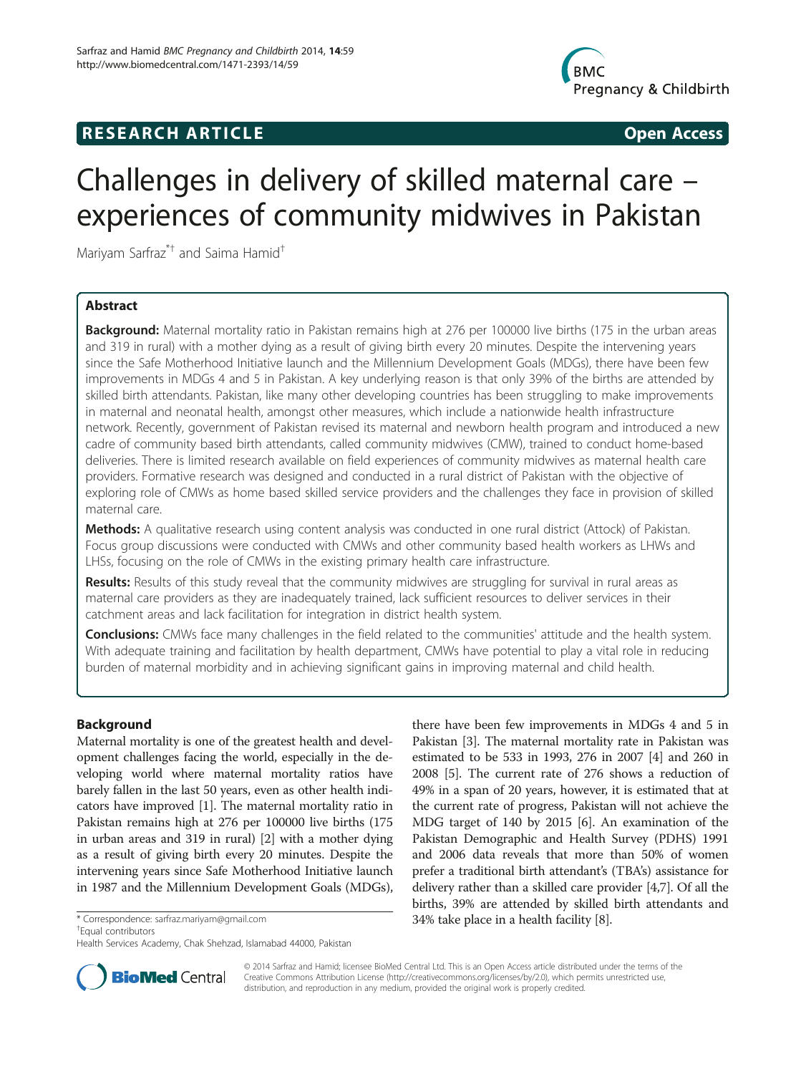



# Challenges in delivery of skilled maternal care – experiences of community midwives in Pakistan

Mariyam Sarfraz<sup>\*†</sup> and Saima Hamid<sup>†</sup>

# Abstract

Background: Maternal mortality ratio in Pakistan remains high at 276 per 100000 live births (175 in the urban areas and 319 in rural) with a mother dying as a result of giving birth every 20 minutes. Despite the intervening years since the Safe Motherhood Initiative launch and the Millennium Development Goals (MDGs), there have been few improvements in MDGs 4 and 5 in Pakistan. A key underlying reason is that only 39% of the births are attended by skilled birth attendants. Pakistan, like many other developing countries has been struggling to make improvements in maternal and neonatal health, amongst other measures, which include a nationwide health infrastructure network. Recently, government of Pakistan revised its maternal and newborn health program and introduced a new cadre of community based birth attendants, called community midwives (CMW), trained to conduct home-based deliveries. There is limited research available on field experiences of community midwives as maternal health care providers. Formative research was designed and conducted in a rural district of Pakistan with the objective of exploring role of CMWs as home based skilled service providers and the challenges they face in provision of skilled maternal care.

Methods: A qualitative research using content analysis was conducted in one rural district (Attock) of Pakistan. Focus group discussions were conducted with CMWs and other community based health workers as LHWs and LHSs, focusing on the role of CMWs in the existing primary health care infrastructure.

Results: Results of this study reveal that the community midwives are struggling for survival in rural areas as maternal care providers as they are inadequately trained, lack sufficient resources to deliver services in their catchment areas and lack facilitation for integration in district health system.

Conclusions: CMWs face many challenges in the field related to the communities' attitude and the health system. With adequate training and facilitation by health department, CMWs have potential to play a vital role in reducing burden of maternal morbidity and in achieving significant gains in improving maternal and child health.

# Background

Maternal mortality is one of the greatest health and development challenges facing the world, especially in the developing world where maternal mortality ratios have barely fallen in the last 50 years, even as other health indicators have improved [\[1\]](#page-12-0). The maternal mortality ratio in Pakistan remains high at 276 per 100000 live births (175 in urban areas and 319 in rural) [\[2](#page-12-0)] with a mother dying as a result of giving birth every 20 minutes. Despite the intervening years since Safe Motherhood Initiative launch in 1987 and the Millennium Development Goals (MDGs),

there have been few improvements in MDGs 4 and 5 in Pakistan [[3\]](#page-12-0). The maternal mortality rate in Pakistan was estimated to be 533 in 1993, 276 in 2007 [\[4](#page-12-0)] and 260 in 2008 [\[5](#page-12-0)]. The current rate of 276 shows a reduction of 49% in a span of 20 years, however, it is estimated that at the current rate of progress, Pakistan will not achieve the MDG target of 140 by 2015 [[6\]](#page-12-0). An examination of the Pakistan Demographic and Health Survey (PDHS) 1991 and 2006 data reveals that more than 50% of women prefer a traditional birth attendant's (TBA's) assistance for delivery rather than a skilled care provider [[4,7\]](#page-12-0). Of all the births, 39% are attended by skilled birth attendants and \* Correspondence: [sarfraz.mariyam@gmail.com](mailto:sarfraz.mariyam@gmail.com) 34% take place in a health facility [[8](#page-12-0)]. †



© 2014 Sarfraz and Hamid; licensee BioMed Central Ltd. This is an Open Access article distributed under the terms of the Creative Commons Attribution License (<http://creativecommons.org/licenses/by/2.0>), which permits unrestricted use, distribution, and reproduction in any medium, provided the original work is properly credited.

<sup>&</sup>lt;sup>+</sup>Equal contributors

Health Services Academy, Chak Shehzad, Islamabad 44000, Pakistan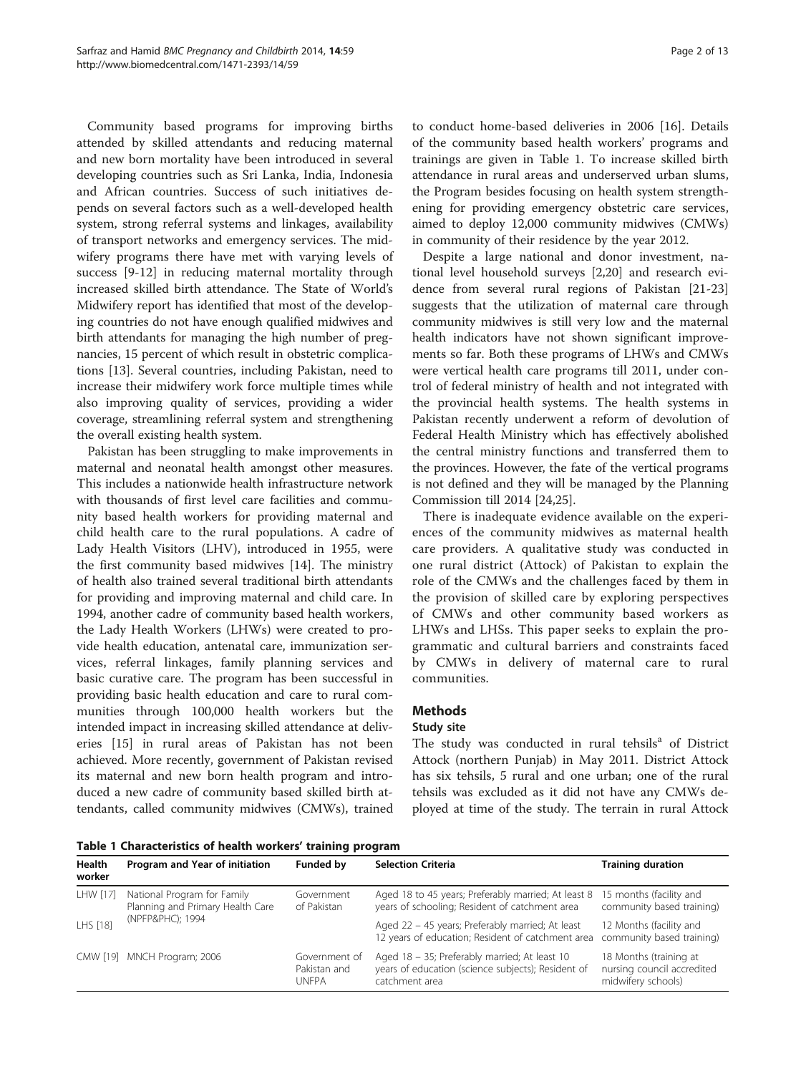Community based programs for improving births attended by skilled attendants and reducing maternal and new born mortality have been introduced in several developing countries such as Sri Lanka, India, Indonesia and African countries. Success of such initiatives depends on several factors such as a well-developed health system, strong referral systems and linkages, availability of transport networks and emergency services. The midwifery programs there have met with varying levels of success [[9-12\]](#page-12-0) in reducing maternal mortality through increased skilled birth attendance. The State of World's Midwifery report has identified that most of the developing countries do not have enough qualified midwives and birth attendants for managing the high number of pregnancies, 15 percent of which result in obstetric complications [\[13](#page-12-0)]. Several countries, including Pakistan, need to increase their midwifery work force multiple times while also improving quality of services, providing a wider coverage, streamlining referral system and strengthening the overall existing health system.

Pakistan has been struggling to make improvements in maternal and neonatal health amongst other measures. This includes a nationwide health infrastructure network with thousands of first level care facilities and community based health workers for providing maternal and child health care to the rural populations. A cadre of Lady Health Visitors (LHV), introduced in 1955, were the first community based midwives [\[14](#page-12-0)]. The ministry of health also trained several traditional birth attendants for providing and improving maternal and child care. In 1994, another cadre of community based health workers, the Lady Health Workers (LHWs) were created to provide health education, antenatal care, immunization services, referral linkages, family planning services and basic curative care. The program has been successful in providing basic health education and care to rural communities through 100,000 health workers but the intended impact in increasing skilled attendance at deliveries [[15](#page-12-0)] in rural areas of Pakistan has not been achieved. More recently, government of Pakistan revised its maternal and new born health program and introduced a new cadre of community based skilled birth attendants, called community midwives (CMWs), trained to conduct home-based deliveries in 2006 [[16\]](#page-12-0). Details of the community based health workers' programs and trainings are given in Table 1. To increase skilled birth attendance in rural areas and underserved urban slums, the Program besides focusing on health system strengthening for providing emergency obstetric care services, aimed to deploy 12,000 community midwives (CMWs) in community of their residence by the year 2012.

Despite a large national and donor investment, national level household surveys [\[2,20](#page-12-0)] and research evidence from several rural regions of Pakistan [\[21](#page-12-0)-[23](#page-12-0)] suggests that the utilization of maternal care through community midwives is still very low and the maternal health indicators have not shown significant improvements so far. Both these programs of LHWs and CMWs were vertical health care programs till 2011, under control of federal ministry of health and not integrated with the provincial health systems. The health systems in Pakistan recently underwent a reform of devolution of Federal Health Ministry which has effectively abolished the central ministry functions and transferred them to the provinces. However, the fate of the vertical programs is not defined and they will be managed by the Planning Commission till 2014 [\[24](#page-12-0),[25](#page-12-0)].

There is inadequate evidence available on the experiences of the community midwives as maternal health care providers. A qualitative study was conducted in one rural district (Attock) of Pakistan to explain the role of the CMWs and the challenges faced by them in the provision of skilled care by exploring perspectives of CMWs and other community based workers as LHWs and LHSs. This paper seeks to explain the programmatic and cultural barriers and constraints faced by CMWs in delivery of maternal care to rural communities.

## Methods

## Study site

The study was conducted in rural tehsils $a$  of District Attock (northern Punjab) in May 2011. District Attock has six tehsils, 5 rural and one urban; one of the rural tehsils was excluded as it did not have any CMWs deployed at time of the study. The terrain in rural Attock

Table 1 Characteristics of health workers' training program

| Health<br>worker | Program and Year of initiation   | Funded by                                         | <b>Selection Criteria</b>                                                                                             | <b>Training duration</b>                                                   |
|------------------|----------------------------------|---------------------------------------------------|-----------------------------------------------------------------------------------------------------------------------|----------------------------------------------------------------------------|
| LHW [17]         | National Program for Family      | Government                                        | Aged 18 to 45 years; Preferably married; At least 8                                                                   | 15 months (facility and                                                    |
|                  | Planning and Primary Health Care | of Pakistan                                       | years of schooling; Resident of catchment area                                                                        | community based training)                                                  |
| (NPFP&PHC); 1994 |                                  | Aged 22 - 45 years; Preferably married; At least  | 12 Months (facility and                                                                                               |                                                                            |
| LHS [18]         |                                  | 12 years of education; Resident of catchment area | community based training)                                                                                             |                                                                            |
|                  | CMW [19] MNCH Program; 2006      | Government of<br>Pakistan and<br>UNFPA            | Aged 18 - 35; Preferably married; At least 10<br>years of education (science subjects); Resident of<br>catchment area | 18 Months (training at<br>nursing council accredited<br>midwifery schools) |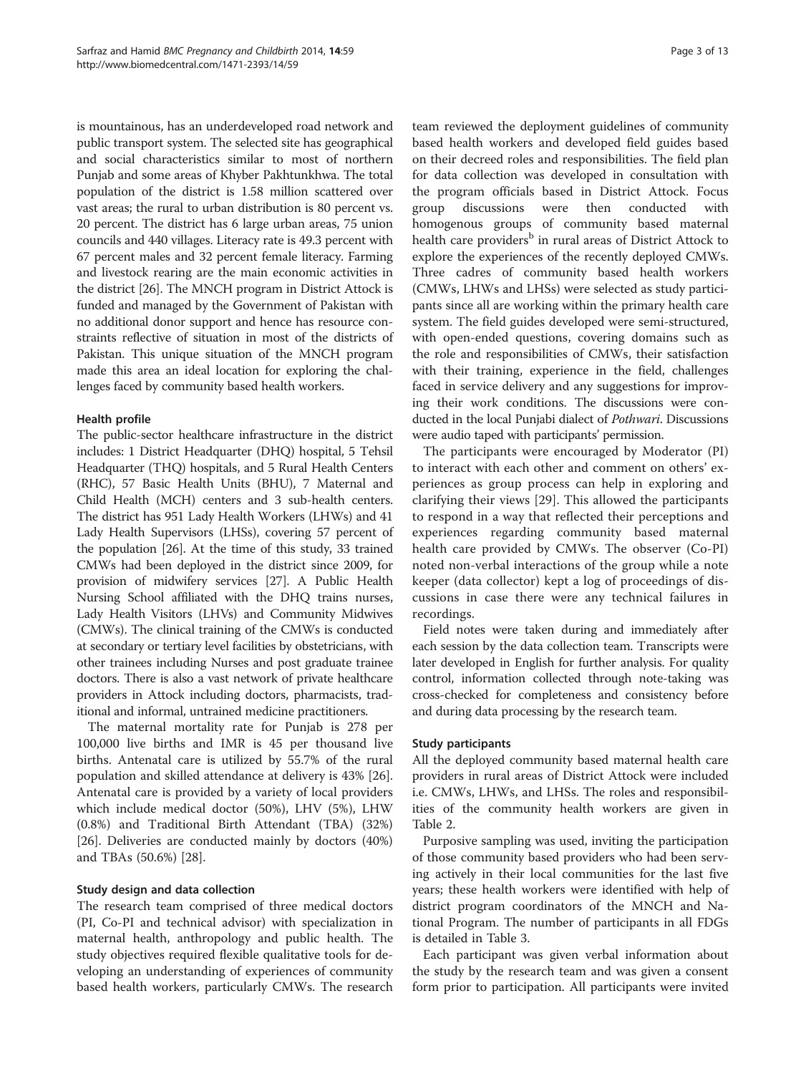is mountainous, has an underdeveloped road network and public transport system. The selected site has geographical and social characteristics similar to most of northern Punjab and some areas of Khyber Pakhtunkhwa. The total population of the district is 1.58 million scattered over vast areas; the rural to urban distribution is 80 percent vs. 20 percent. The district has 6 large urban areas, 75 union councils and 440 villages. Literacy rate is 49.3 percent with 67 percent males and 32 percent female literacy. Farming and livestock rearing are the main economic activities in the district [[26](#page-12-0)]. The MNCH program in District Attock is funded and managed by the Government of Pakistan with no additional donor support and hence has resource constraints reflective of situation in most of the districts of Pakistan. This unique situation of the MNCH program made this area an ideal location for exploring the challenges faced by community based health workers.

#### Health profile

The public-sector healthcare infrastructure in the district includes: 1 District Headquarter (DHQ) hospital, 5 Tehsil Headquarter (THQ) hospitals, and 5 Rural Health Centers (RHC), 57 Basic Health Units (BHU), 7 Maternal and Child Health (MCH) centers and 3 sub-health centers. The district has 951 Lady Health Workers (LHWs) and 41 Lady Health Supervisors (LHSs), covering 57 percent of the population [[26](#page-12-0)]. At the time of this study, 33 trained CMWs had been deployed in the district since 2009, for provision of midwifery services [\[27\]](#page-12-0). A Public Health Nursing School affiliated with the DHQ trains nurses, Lady Health Visitors (LHVs) and Community Midwives (CMWs). The clinical training of the CMWs is conducted at secondary or tertiary level facilities by obstetricians, with other trainees including Nurses and post graduate trainee doctors. There is also a vast network of private healthcare providers in Attock including doctors, pharmacists, traditional and informal, untrained medicine practitioners.

The maternal mortality rate for Punjab is 278 per 100,000 live births and IMR is 45 per thousand live births. Antenatal care is utilized by 55.7% of the rural population and skilled attendance at delivery is 43% [\[26](#page-12-0)]. Antenatal care is provided by a variety of local providers which include medical doctor (50%), LHV (5%), LHW (0.8%) and Traditional Birth Attendant (TBA) (32%) [[26\]](#page-12-0). Deliveries are conducted mainly by doctors (40%) and TBAs (50.6%) [[28\]](#page-12-0).

#### Study design and data collection

The research team comprised of three medical doctors (PI, Co-PI and technical advisor) with specialization in maternal health, anthropology and public health. The study objectives required flexible qualitative tools for developing an understanding of experiences of community based health workers, particularly CMWs. The research

team reviewed the deployment guidelines of community based health workers and developed field guides based on their decreed roles and responsibilities. The field plan for data collection was developed in consultation with the program officials based in District Attock. Focus group discussions were then conducted with homogenous groups of community based maternal health care providers<sup>b</sup> in rural areas of District Attock to explore the experiences of the recently deployed CMWs. Three cadres of community based health workers (CMWs, LHWs and LHSs) were selected as study participants since all are working within the primary health care system. The field guides developed were semi-structured, with open-ended questions, covering domains such as the role and responsibilities of CMWs, their satisfaction with their training, experience in the field, challenges faced in service delivery and any suggestions for improving their work conditions. The discussions were conducted in the local Punjabi dialect of Pothwari. Discussions were audio taped with participants' permission.

The participants were encouraged by Moderator (PI) to interact with each other and comment on others' experiences as group process can help in exploring and clarifying their views [\[29](#page-12-0)]. This allowed the participants to respond in a way that reflected their perceptions and experiences regarding community based maternal health care provided by CMWs. The observer (Co-PI) noted non-verbal interactions of the group while a note keeper (data collector) kept a log of proceedings of discussions in case there were any technical failures in recordings.

Field notes were taken during and immediately after each session by the data collection team. Transcripts were later developed in English for further analysis. For quality control, information collected through note-taking was cross-checked for completeness and consistency before and during data processing by the research team.

#### Study participants

All the deployed community based maternal health care providers in rural areas of District Attock were included i.e. CMWs, LHWs, and LHSs. The roles and responsibilities of the community health workers are given in Table [2.](#page-3-0)

Purposive sampling was used, inviting the participation of those community based providers who had been serving actively in their local communities for the last five years; these health workers were identified with help of district program coordinators of the MNCH and National Program. The number of participants in all FDGs is detailed in Table [3.](#page-3-0)

Each participant was given verbal information about the study by the research team and was given a consent form prior to participation. All participants were invited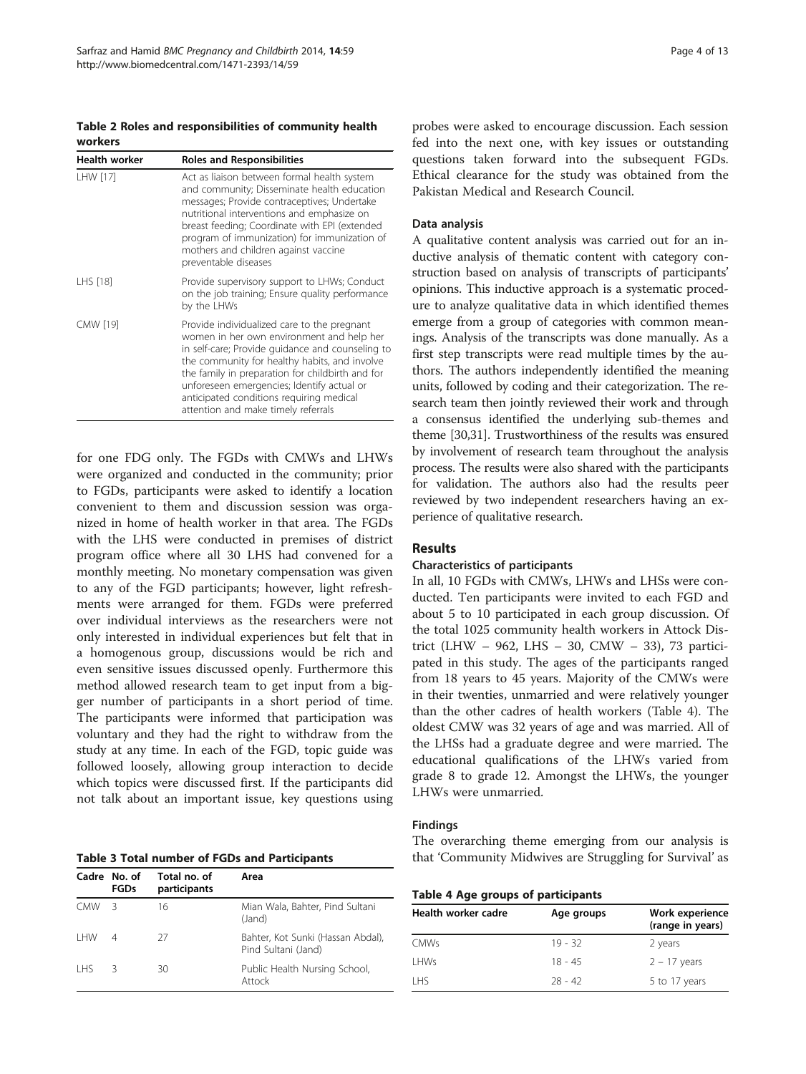<span id="page-3-0"></span>Table 2 Roles and responsibilities of community health workers

| <b>Health worker</b> | <b>Roles and Responsibilities</b>                                                                                                                                                                                                                                                                                                                                                  |  |
|----------------------|------------------------------------------------------------------------------------------------------------------------------------------------------------------------------------------------------------------------------------------------------------------------------------------------------------------------------------------------------------------------------------|--|
| LHW [17]             | Act as liaison between formal health system<br>and community; Disseminate health education<br>messages; Provide contraceptives; Undertake<br>nutritional interventions and emphasize on<br>breast feeding; Coordinate with EPI (extended<br>program of immunization) for immunization of<br>mothers and children against vaccine<br>preventable diseases                           |  |
| LHS [18]             | Provide supervisory support to LHWs; Conduct<br>on the job training; Ensure quality performance<br>by the LHWs                                                                                                                                                                                                                                                                     |  |
| CMW [19]             | Provide individualized care to the pregnant<br>women in her own environment and help her<br>in self-care; Provide guidance and counseling to<br>the community for healthy habits, and involve<br>the family in preparation for childbirth and for<br>unforeseen emergencies; Identify actual or<br>anticipated conditions requiring medical<br>attention and make timely referrals |  |

for one FDG only. The FGDs with CMWs and LHWs were organized and conducted in the community; prior to FGDs, participants were asked to identify a location convenient to them and discussion session was organized in home of health worker in that area. The FGDs with the LHS were conducted in premises of district program office where all 30 LHS had convened for a monthly meeting. No monetary compensation was given to any of the FGD participants; however, light refreshments were arranged for them. FGDs were preferred over individual interviews as the researchers were not only interested in individual experiences but felt that in a homogenous group, discussions would be rich and even sensitive issues discussed openly. Furthermore this method allowed research team to get input from a bigger number of participants in a short period of time. The participants were informed that participation was voluntary and they had the right to withdraw from the study at any time. In each of the FGD, topic guide was followed loosely, allowing group interaction to decide which topics were discussed first. If the participants did not talk about an important issue, key questions using

| <b>Table 3 Total number of FGDs and Participants</b> |
|------------------------------------------------------|
|------------------------------------------------------|

|            | Cadre No. of<br><b>FGDs</b> | Total no. of<br>participants | Area                                                     |
|------------|-----------------------------|------------------------------|----------------------------------------------------------|
| <b>CMW</b> | Β                           | 16                           | Mian Wala, Bahter, Pind Sultani<br>(Jand)                |
| I HW       | 4                           | 27                           | Bahter, Kot Sunki (Hassan Abdal),<br>Pind Sultani (Jand) |
| <b>IHS</b> | $\overline{3}$              | 30                           | Public Health Nursing School,<br>Attock                  |

probes were asked to encourage discussion. Each session fed into the next one, with key issues or outstanding questions taken forward into the subsequent FGDs. Ethical clearance for the study was obtained from the Pakistan Medical and Research Council.

#### Data analysis

A qualitative content analysis was carried out for an inductive analysis of thematic content with category construction based on analysis of transcripts of participants' opinions. This inductive approach is a systematic procedure to analyze qualitative data in which identified themes emerge from a group of categories with common meanings. Analysis of the transcripts was done manually. As a first step transcripts were read multiple times by the authors. The authors independently identified the meaning units, followed by coding and their categorization. The research team then jointly reviewed their work and through a consensus identified the underlying sub-themes and theme [[30](#page-12-0),[31](#page-12-0)]. Trustworthiness of the results was ensured by involvement of research team throughout the analysis process. The results were also shared with the participants for validation. The authors also had the results peer reviewed by two independent researchers having an experience of qualitative research.

## Results

#### Characteristics of participants

In all, 10 FGDs with CMWs, LHWs and LHSs were conducted. Ten participants were invited to each FGD and about 5 to 10 participated in each group discussion. Of the total 1025 community health workers in Attock District (LHW – 962, LHS – 30, CMW – 33), 73 participated in this study. The ages of the participants ranged from 18 years to 45 years. Majority of the CMWs were in their twenties, unmarried and were relatively younger than the other cadres of health workers (Table 4). The oldest CMW was 32 years of age and was married. All of the LHSs had a graduate degree and were married. The educational qualifications of the LHWs varied from grade 8 to grade 12. Amongst the LHWs, the younger LHWs were unmarried.

#### Findings

The overarching theme emerging from our analysis is that 'Community Midwives are Struggling for Survival' as

|  |  |  |  | <b>Table 4 Age groups of participants</b> |
|--|--|--|--|-------------------------------------------|
|--|--|--|--|-------------------------------------------|

| Health worker cadre | Age groups | Work experience<br>(range in years) |  |  |
|---------------------|------------|-------------------------------------|--|--|
| <b>CMWs</b>         | $19 - 32$  | 2 years                             |  |  |
| I HWs               | $18 - 45$  | $2 - 17$ years                      |  |  |
| <b>LHS</b>          | $28 - 42$  | 5 to 17 years                       |  |  |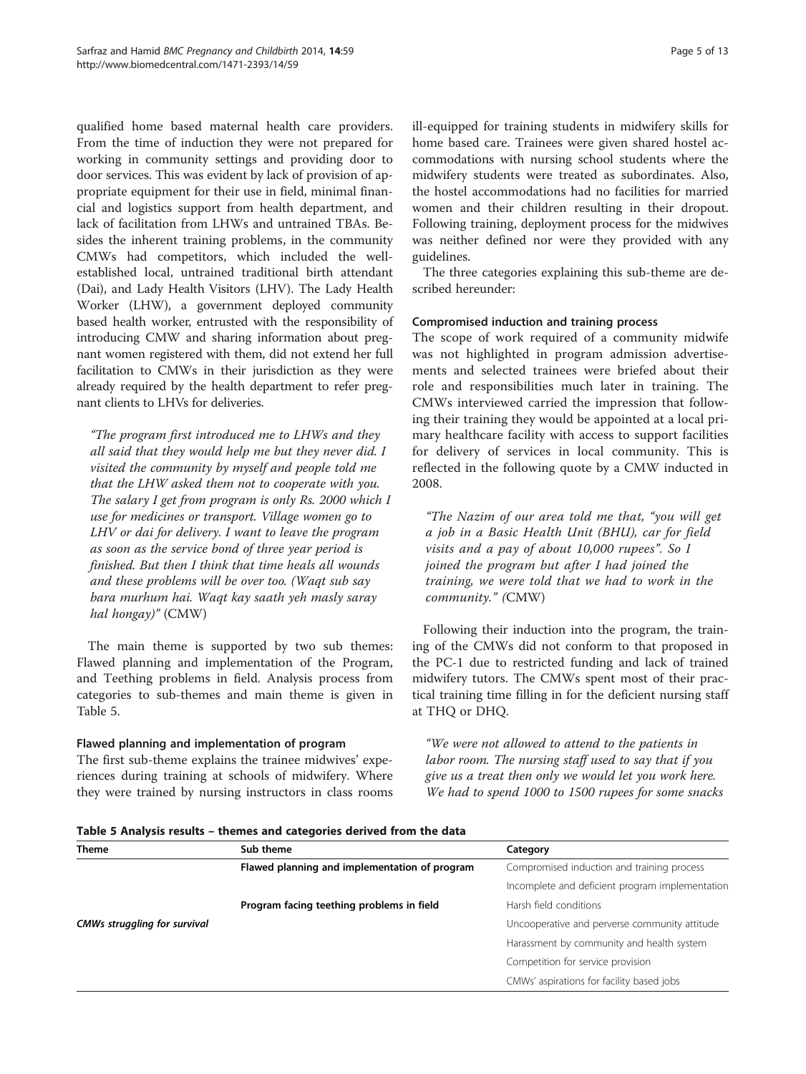qualified home based maternal health care providers. From the time of induction they were not prepared for working in community settings and providing door to door services. This was evident by lack of provision of appropriate equipment for their use in field, minimal financial and logistics support from health department, and lack of facilitation from LHWs and untrained TBAs. Besides the inherent training problems, in the community CMWs had competitors, which included the wellestablished local, untrained traditional birth attendant (Dai), and Lady Health Visitors (LHV). The Lady Health Worker (LHW), a government deployed community based health worker, entrusted with the responsibility of introducing CMW and sharing information about pregnant women registered with them, did not extend her full facilitation to CMWs in their jurisdiction as they were already required by the health department to refer pregnant clients to LHVs for deliveries.

"The program first introduced me to LHWs and they all said that they would help me but they never did. I visited the community by myself and people told me that the LHW asked them not to cooperate with you. The salary I get from program is only Rs. 2000 which I use for medicines or transport. Village women go to LHV or dai for delivery. I want to leave the program as soon as the service bond of three year period is finished. But then I think that time heals all wounds and these problems will be over too. (Waqt sub say bara murhum hai. Waqt kay saath yeh masly saray hal hongay)" (CMW)

The main theme is supported by two sub themes: Flawed planning and implementation of the Program, and Teething problems in field. Analysis process from categories to sub-themes and main theme is given in Table 5.

#### Flawed planning and implementation of program

The first sub-theme explains the trainee midwives' experiences during training at schools of midwifery. Where they were trained by nursing instructors in class rooms ill-equipped for training students in midwifery skills for home based care. Trainees were given shared hostel accommodations with nursing school students where the midwifery students were treated as subordinates. Also, the hostel accommodations had no facilities for married women and their children resulting in their dropout. Following training, deployment process for the midwives was neither defined nor were they provided with any guidelines.

The three categories explaining this sub-theme are described hereunder:

## Compromised induction and training process

The scope of work required of a community midwife was not highlighted in program admission advertisements and selected trainees were briefed about their role and responsibilities much later in training. The CMWs interviewed carried the impression that following their training they would be appointed at a local primary healthcare facility with access to support facilities for delivery of services in local community. This is reflected in the following quote by a CMW inducted in 2008.

"The Nazim of our area told me that, "you will get a job in a Basic Health Unit (BHU), car for field visits and a pay of about 10,000 rupees". So I joined the program but after I had joined the training, we were told that we had to work in the community." (CMW)

Following their induction into the program, the training of the CMWs did not conform to that proposed in the PC-1 due to restricted funding and lack of trained midwifery tutors. The CMWs spent most of their practical training time filling in for the deficient nursing staff at THQ or DHQ.

"We were not allowed to attend to the patients in labor room. The nursing staff used to say that if you give us a treat then only we would let you work here. We had to spend 1000 to 1500 rupees for some snacks

| Table 5 Analysis results - themes and categories derived from the data |  |  |  |
|------------------------------------------------------------------------|--|--|--|
|------------------------------------------------------------------------|--|--|--|

| <b>Theme</b>                        | Sub theme                                     | Category                                        |
|-------------------------------------|-----------------------------------------------|-------------------------------------------------|
|                                     | Flawed planning and implementation of program | Compromised induction and training process      |
|                                     |                                               | Incomplete and deficient program implementation |
|                                     | Program facing teething problems in field     | Harsh field conditions                          |
| <b>CMWs struggling for survival</b> |                                               | Uncooperative and perverse community attitude   |
|                                     |                                               | Harassment by community and health system       |
|                                     |                                               | Competition for service provision               |
|                                     |                                               | CMWs' aspirations for facility based jobs       |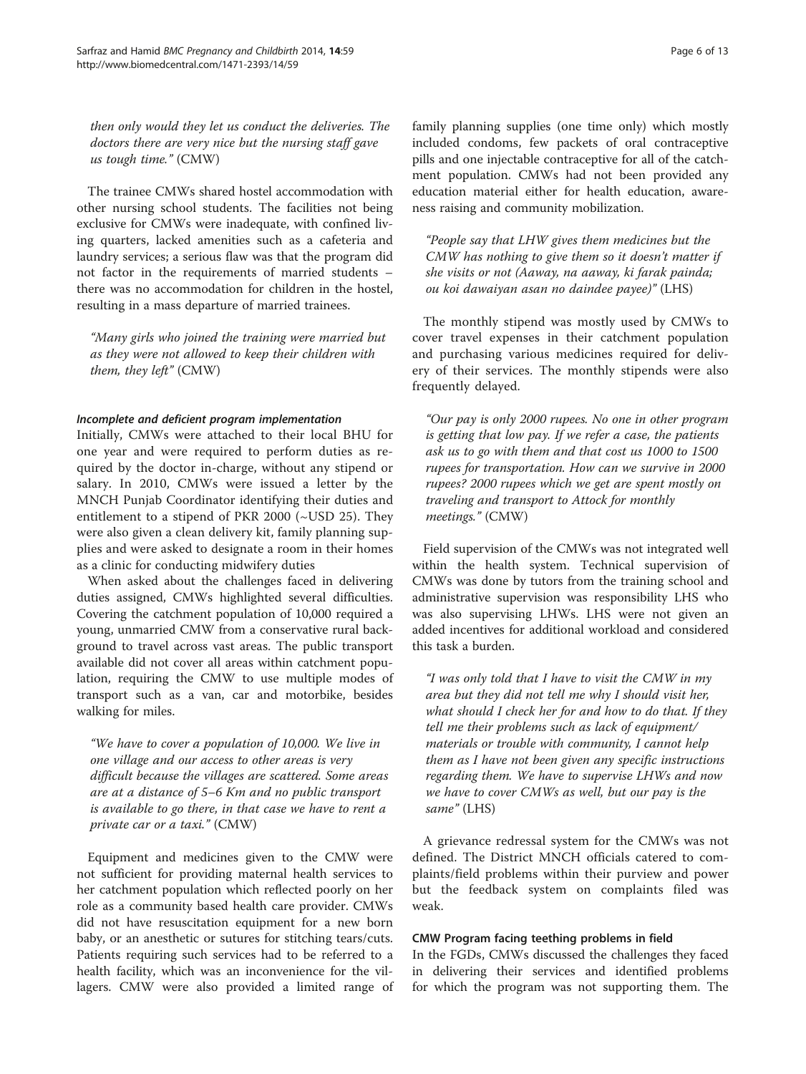then only would they let us conduct the deliveries. The doctors there are very nice but the nursing staff gave us tough time." (CMW)

The trainee CMWs shared hostel accommodation with other nursing school students. The facilities not being exclusive for CMWs were inadequate, with confined living quarters, lacked amenities such as a cafeteria and laundry services; a serious flaw was that the program did not factor in the requirements of married students – there was no accommodation for children in the hostel, resulting in a mass departure of married trainees.

"Many girls who joined the training were married but as they were not allowed to keep their children with them, they left" (CMW)

#### Incomplete and deficient program implementation

Initially, CMWs were attached to their local BHU for one year and were required to perform duties as required by the doctor in-charge, without any stipend or salary. In 2010, CMWs were issued a letter by the MNCH Punjab Coordinator identifying their duties and entitlement to a stipend of PKR 2000 (~USD 25). They were also given a clean delivery kit, family planning supplies and were asked to designate a room in their homes as a clinic for conducting midwifery duties

When asked about the challenges faced in delivering duties assigned, CMWs highlighted several difficulties. Covering the catchment population of 10,000 required a young, unmarried CMW from a conservative rural background to travel across vast areas. The public transport available did not cover all areas within catchment population, requiring the CMW to use multiple modes of transport such as a van, car and motorbike, besides walking for miles.

"We have to cover a population of 10,000. We live in one village and our access to other areas is very difficult because the villages are scattered. Some areas are at a distance of 5–6 Km and no public transport is available to go there, in that case we have to rent a private car or a taxi." (CMW)

Equipment and medicines given to the CMW were not sufficient for providing maternal health services to her catchment population which reflected poorly on her role as a community based health care provider. CMWs did not have resuscitation equipment for a new born baby, or an anesthetic or sutures for stitching tears/cuts. Patients requiring such services had to be referred to a health facility, which was an inconvenience for the villagers. CMW were also provided a limited range of family planning supplies (one time only) which mostly included condoms, few packets of oral contraceptive pills and one injectable contraceptive for all of the catchment population. CMWs had not been provided any education material either for health education, awareness raising and community mobilization.

"People say that LHW gives them medicines but the CMW has nothing to give them so it doesn't matter if she visits or not (Aaway, na aaway, ki farak painda; ou koi dawaiyan asan no daindee payee)" (LHS)

The monthly stipend was mostly used by CMWs to cover travel expenses in their catchment population and purchasing various medicines required for delivery of their services. The monthly stipends were also frequently delayed.

"Our pay is only 2000 rupees. No one in other program is getting that low pay. If we refer a case, the patients ask us to go with them and that cost us 1000 to 1500 rupees for transportation. How can we survive in 2000 rupees? 2000 rupees which we get are spent mostly on traveling and transport to Attock for monthly meetings." (CMW)

Field supervision of the CMWs was not integrated well within the health system. Technical supervision of CMWs was done by tutors from the training school and administrative supervision was responsibility LHS who was also supervising LHWs. LHS were not given an added incentives for additional workload and considered this task a burden.

"I was only told that I have to visit the CMW in my area but they did not tell me why I should visit her, what should I check her for and how to do that. If they tell me their problems such as lack of equipment/ materials or trouble with community, I cannot help them as I have not been given any specific instructions regarding them. We have to supervise LHWs and now we have to cover CMWs as well, but our pay is the same" (LHS)

A grievance redressal system for the CMWs was not defined. The District MNCH officials catered to complaints/field problems within their purview and power but the feedback system on complaints filed was weak.

#### CMW Program facing teething problems in field

In the FGDs, CMWs discussed the challenges they faced in delivering their services and identified problems for which the program was not supporting them. The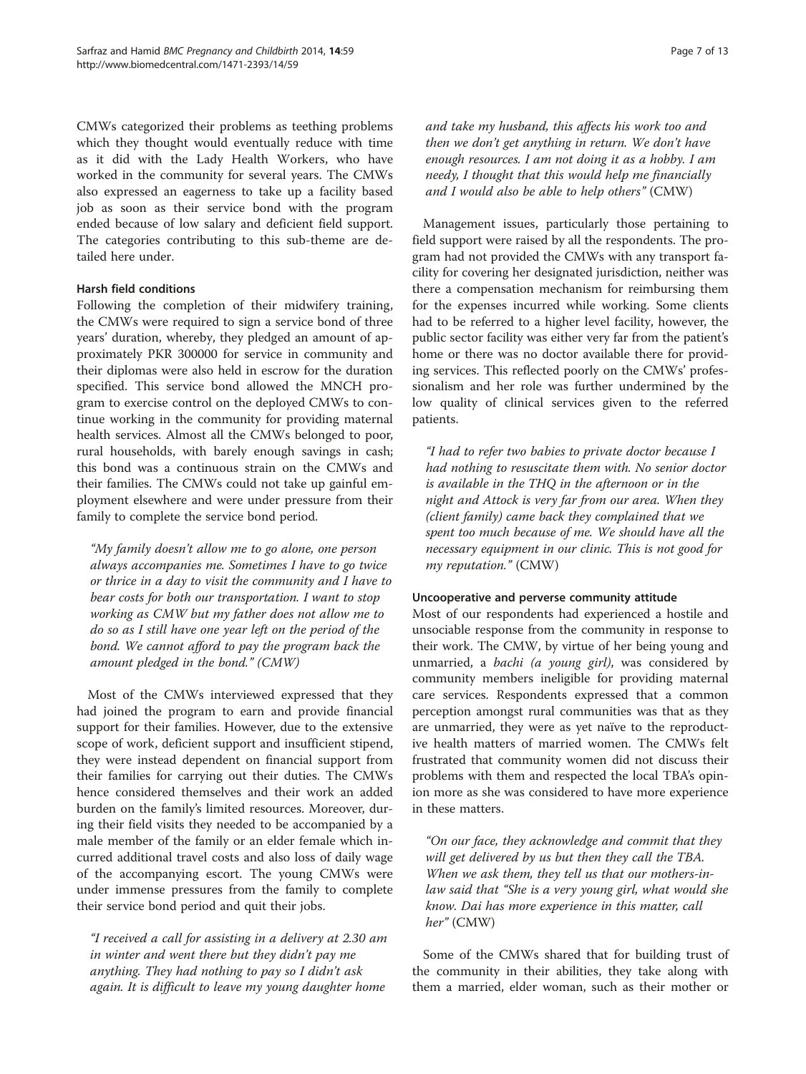CMWs categorized their problems as teething problems which they thought would eventually reduce with time as it did with the Lady Health Workers, who have worked in the community for several years. The CMWs also expressed an eagerness to take up a facility based job as soon as their service bond with the program ended because of low salary and deficient field support. The categories contributing to this sub-theme are detailed here under.

#### Harsh field conditions

Following the completion of their midwifery training, the CMWs were required to sign a service bond of three years' duration, whereby, they pledged an amount of approximately PKR 300000 for service in community and their diplomas were also held in escrow for the duration specified. This service bond allowed the MNCH program to exercise control on the deployed CMWs to continue working in the community for providing maternal health services. Almost all the CMWs belonged to poor, rural households, with barely enough savings in cash; this bond was a continuous strain on the CMWs and their families. The CMWs could not take up gainful employment elsewhere and were under pressure from their family to complete the service bond period.

"My family doesn't allow me to go alone, one person always accompanies me. Sometimes I have to go twice or thrice in a day to visit the community and I have to bear costs for both our transportation. I want to stop working as CMW but my father does not allow me to do so as I still have one year left on the period of the bond. We cannot afford to pay the program back the amount pledged in the bond." (CMW)

Most of the CMWs interviewed expressed that they had joined the program to earn and provide financial support for their families. However, due to the extensive scope of work, deficient support and insufficient stipend, they were instead dependent on financial support from their families for carrying out their duties. The CMWs hence considered themselves and their work an added burden on the family's limited resources. Moreover, during their field visits they needed to be accompanied by a male member of the family or an elder female which incurred additional travel costs and also loss of daily wage of the accompanying escort. The young CMWs were under immense pressures from the family to complete their service bond period and quit their jobs.

"I received a call for assisting in a delivery at 2.30 am in winter and went there but they didn't pay me anything. They had nothing to pay so I didn't ask again. It is difficult to leave my young daughter home

and take my husband, this affects his work too and then we don't get anything in return. We don't have enough resources. I am not doing it as a hobby. I am needy, I thought that this would help me financially and I would also be able to help others" (CMW)

Management issues, particularly those pertaining to field support were raised by all the respondents. The program had not provided the CMWs with any transport facility for covering her designated jurisdiction, neither was there a compensation mechanism for reimbursing them for the expenses incurred while working. Some clients had to be referred to a higher level facility, however, the public sector facility was either very far from the patient's home or there was no doctor available there for providing services. This reflected poorly on the CMWs' professionalism and her role was further undermined by the low quality of clinical services given to the referred patients.

"I had to refer two babies to private doctor because I had nothing to resuscitate them with. No senior doctor is available in the THQ in the afternoon or in the night and Attock is very far from our area. When they (client family) came back they complained that we spent too much because of me. We should have all the necessary equipment in our clinic. This is not good for my reputation." (CMW)

#### Uncooperative and perverse community attitude

Most of our respondents had experienced a hostile and unsociable response from the community in response to their work. The CMW, by virtue of her being young and unmarried, a bachi (a young girl), was considered by community members ineligible for providing maternal care services. Respondents expressed that a common perception amongst rural communities was that as they are unmarried, they were as yet naïve to the reproductive health matters of married women. The CMWs felt frustrated that community women did not discuss their problems with them and respected the local TBA's opinion more as she was considered to have more experience in these matters.

"On our face, they acknowledge and commit that they will get delivered by us but then they call the TBA. When we ask them, they tell us that our mothers-inlaw said that "She is a very young girl, what would she know. Dai has more experience in this matter, call her" (CMW)

Some of the CMWs shared that for building trust of the community in their abilities, they take along with them a married, elder woman, such as their mother or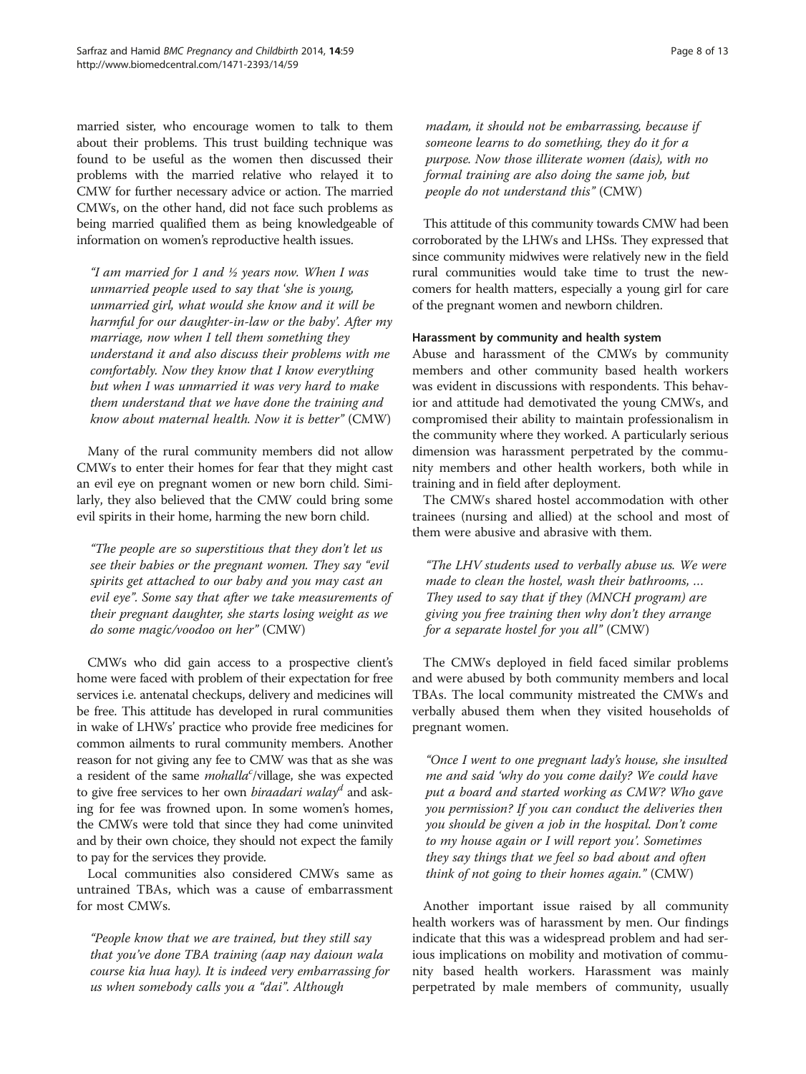married sister, who encourage women to talk to them about their problems. This trust building technique was found to be useful as the women then discussed their problems with the married relative who relayed it to CMW for further necessary advice or action. The married CMWs, on the other hand, did not face such problems as being married qualified them as being knowledgeable of information on women's reproductive health issues.

"I am married for 1 and  $\frac{1}{2}$  years now. When I was unmarried people used to say that 'she is young, unmarried girl, what would she know and it will be harmful for our daughter-in-law or the baby'. After my marriage, now when I tell them something they understand it and also discuss their problems with me comfortably. Now they know that I know everything but when I was unmarried it was very hard to make them understand that we have done the training and know about maternal health. Now it is better" (CMW)

Many of the rural community members did not allow CMWs to enter their homes for fear that they might cast an evil eye on pregnant women or new born child. Similarly, they also believed that the CMW could bring some evil spirits in their home, harming the new born child.

"The people are so superstitious that they don't let us see their babies or the pregnant women. They say "evil spirits get attached to our baby and you may cast an evil eye". Some say that after we take measurements of their pregnant daughter, she starts losing weight as we do some magic/voodoo on her" (CMW)

CMWs who did gain access to a prospective client's home were faced with problem of their expectation for free services i.e. antenatal checkups, delivery and medicines will be free. This attitude has developed in rural communities in wake of LHWs' practice who provide free medicines for common ailments to rural community members. Another reason for not giving any fee to CMW was that as she was a resident of the same *mohalla<sup>c</sup>*/village, she was expected to give free services to her own *biraadari walay*<sup>d</sup> and asking for fee was frowned upon. In some women's homes, the CMWs were told that since they had come uninvited and by their own choice, they should not expect the family to pay for the services they provide.

Local communities also considered CMWs same as untrained TBAs, which was a cause of embarrassment for most CMWs.

"People know that we are trained, but they still say that you've done TBA training (aap nay daioun wala course kia hua hay). It is indeed very embarrassing for us when somebody calls you a "dai". Although

madam, it should not be embarrassing, because if someone learns to do something, they do it for a purpose. Now those illiterate women (dais), with no formal training are also doing the same job, but people do not understand this" (CMW)

This attitude of this community towards CMW had been corroborated by the LHWs and LHSs. They expressed that since community midwives were relatively new in the field rural communities would take time to trust the newcomers for health matters, especially a young girl for care of the pregnant women and newborn children.

#### Harassment by community and health system

Abuse and harassment of the CMWs by community members and other community based health workers was evident in discussions with respondents. This behavior and attitude had demotivated the young CMWs, and compromised their ability to maintain professionalism in the community where they worked. A particularly serious dimension was harassment perpetrated by the community members and other health workers, both while in training and in field after deployment.

The CMWs shared hostel accommodation with other trainees (nursing and allied) at the school and most of them were abusive and abrasive with them.

"The LHV students used to verbally abuse us. We were made to clean the hostel, wash their bathrooms, … They used to say that if they (MNCH program) are giving you free training then why don't they arrange for a separate hostel for you all" (CMW)

The CMWs deployed in field faced similar problems and were abused by both community members and local TBAs. The local community mistreated the CMWs and verbally abused them when they visited households of pregnant women.

"Once I went to one pregnant lady's house, she insulted me and said 'why do you come daily? We could have put a board and started working as CMW? Who gave you permission? If you can conduct the deliveries then you should be given a job in the hospital. Don't come to my house again or I will report you'. Sometimes they say things that we feel so bad about and often think of not going to their homes again." (CMW)

Another important issue raised by all community health workers was of harassment by men. Our findings indicate that this was a widespread problem and had serious implications on mobility and motivation of community based health workers. Harassment was mainly perpetrated by male members of community, usually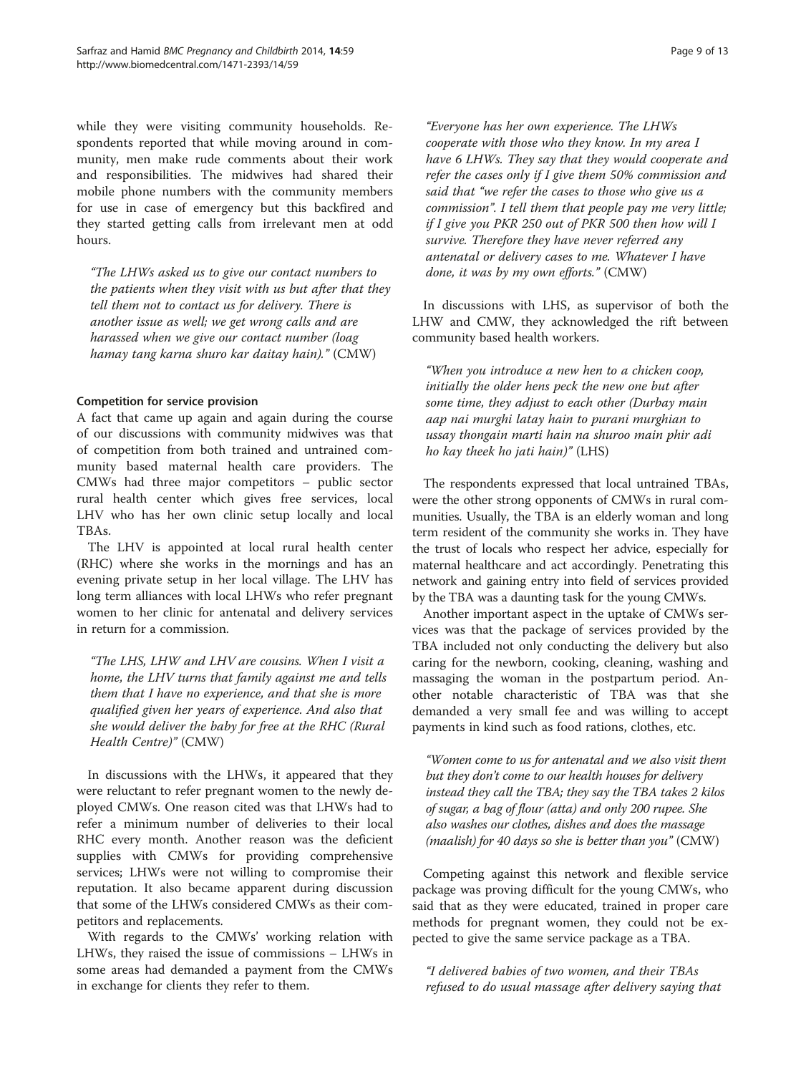while they were visiting community households. Respondents reported that while moving around in community, men make rude comments about their work and responsibilities. The midwives had shared their mobile phone numbers with the community members for use in case of emergency but this backfired and they started getting calls from irrelevant men at odd hours.

"The LHWs asked us to give our contact numbers to the patients when they visit with us but after that they tell them not to contact us for delivery. There is another issue as well; we get wrong calls and are harassed when we give our contact number (loag hamay tang karna shuro kar daitay hain)." (CMW)

#### Competition for service provision

A fact that came up again and again during the course of our discussions with community midwives was that of competition from both trained and untrained community based maternal health care providers. The CMWs had three major competitors – public sector rural health center which gives free services, local LHV who has her own clinic setup locally and local TBAs.

The LHV is appointed at local rural health center (RHC) where she works in the mornings and has an evening private setup in her local village. The LHV has long term alliances with local LHWs who refer pregnant women to her clinic for antenatal and delivery services in return for a commission.

"The LHS, LHW and LHV are cousins. When I visit a home, the LHV turns that family against me and tells them that I have no experience, and that she is more qualified given her years of experience. And also that she would deliver the baby for free at the RHC (Rural Health Centre)" (CMW)

In discussions with the LHWs, it appeared that they were reluctant to refer pregnant women to the newly deployed CMWs. One reason cited was that LHWs had to refer a minimum number of deliveries to their local RHC every month. Another reason was the deficient supplies with CMWs for providing comprehensive services; LHWs were not willing to compromise their reputation. It also became apparent during discussion that some of the LHWs considered CMWs as their competitors and replacements.

With regards to the CMWs' working relation with LHWs, they raised the issue of commissions – LHWs in some areas had demanded a payment from the CMWs in exchange for clients they refer to them.

"Everyone has her own experience. The LHWs cooperate with those who they know. In my area I have 6 LHWs. They say that they would cooperate and refer the cases only if I give them 50% commission and said that "we refer the cases to those who give us a commission". I tell them that people pay me very little; if I give you PKR 250 out of PKR 500 then how will I survive. Therefore they have never referred any antenatal or delivery cases to me. Whatever I have done, it was by my own efforts." (CMW)

In discussions with LHS, as supervisor of both the LHW and CMW, they acknowledged the rift between community based health workers.

"When you introduce a new hen to a chicken coop, initially the older hens peck the new one but after some time, they adjust to each other (Durbay main aap nai murghi latay hain to purani murghian to ussay thongain marti hain na shuroo main phir adi ho kay theek ho jati hain)" (LHS)

The respondents expressed that local untrained TBAs, were the other strong opponents of CMWs in rural communities. Usually, the TBA is an elderly woman and long term resident of the community she works in. They have the trust of locals who respect her advice, especially for maternal healthcare and act accordingly. Penetrating this network and gaining entry into field of services provided by the TBA was a daunting task for the young CMWs.

Another important aspect in the uptake of CMWs services was that the package of services provided by the TBA included not only conducting the delivery but also caring for the newborn, cooking, cleaning, washing and massaging the woman in the postpartum period. Another notable characteristic of TBA was that she demanded a very small fee and was willing to accept payments in kind such as food rations, clothes, etc.

"Women come to us for antenatal and we also visit them but they don't come to our health houses for delivery instead they call the TBA; they say the TBA takes 2 kilos of sugar, a bag of flour (atta) and only 200 rupee. She also washes our clothes, dishes and does the massage (maalish) for 40 days so she is better than you" (CMW)

Competing against this network and flexible service package was proving difficult for the young CMWs, who said that as they were educated, trained in proper care methods for pregnant women, they could not be expected to give the same service package as a TBA.

"I delivered babies of two women, and their TBAs refused to do usual massage after delivery saying that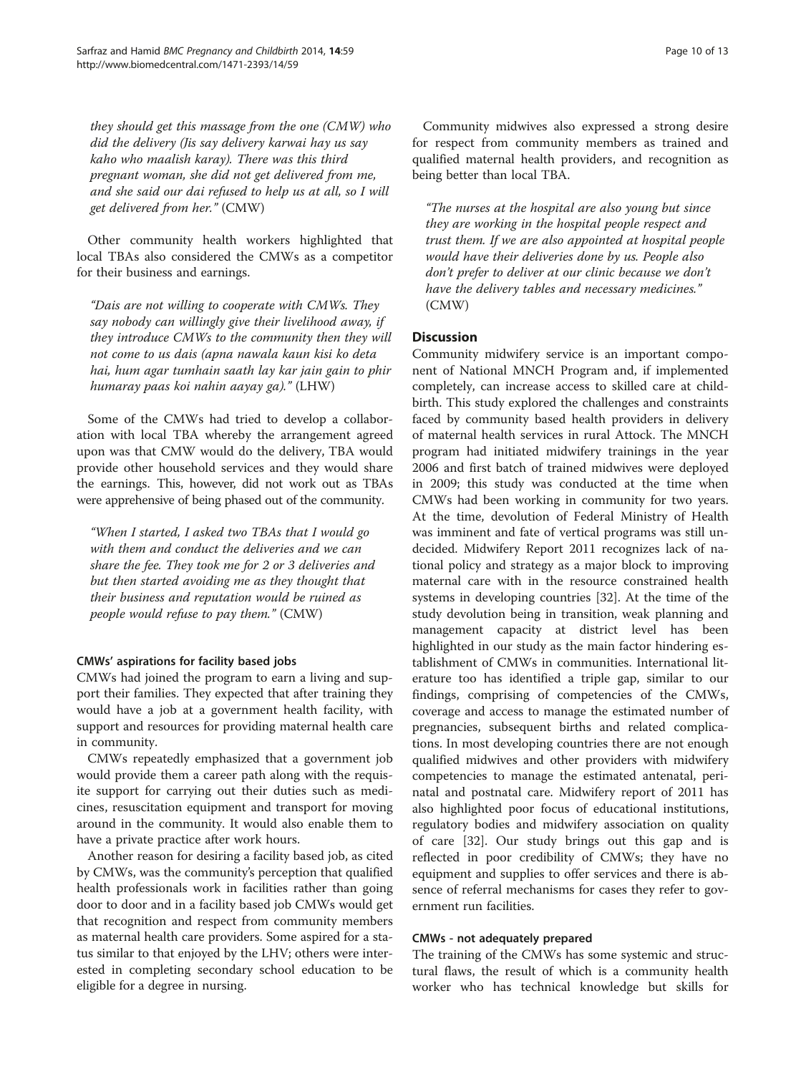they should get this massage from the one (CMW) who did the delivery (Jis say delivery karwai hay us say kaho who maalish karay). There was this third pregnant woman, she did not get delivered from me, and she said our dai refused to help us at all, so I will get delivered from her." (CMW)

Other community health workers highlighted that local TBAs also considered the CMWs as a competitor for their business and earnings.

"Dais are not willing to cooperate with CMWs. They say nobody can willingly give their livelihood away, if they introduce CMWs to the community then they will not come to us dais (apna nawala kaun kisi ko deta hai, hum agar tumhain saath lay kar jain gain to phir humaray paas koi nahin aayay ga)." (LHW)

Some of the CMWs had tried to develop a collaboration with local TBA whereby the arrangement agreed upon was that CMW would do the delivery, TBA would provide other household services and they would share the earnings. This, however, did not work out as TBAs were apprehensive of being phased out of the community.

"When I started, I asked two TBAs that I would go with them and conduct the deliveries and we can share the fee. They took me for 2 or 3 deliveries and but then started avoiding me as they thought that their business and reputation would be ruined as people would refuse to pay them." (CMW)

## CMWs' aspirations for facility based jobs

CMWs had joined the program to earn a living and support their families. They expected that after training they would have a job at a government health facility, with support and resources for providing maternal health care in community.

CMWs repeatedly emphasized that a government job would provide them a career path along with the requisite support for carrying out their duties such as medicines, resuscitation equipment and transport for moving around in the community. It would also enable them to have a private practice after work hours.

Another reason for desiring a facility based job, as cited by CMWs, was the community's perception that qualified health professionals work in facilities rather than going door to door and in a facility based job CMWs would get that recognition and respect from community members as maternal health care providers. Some aspired for a status similar to that enjoyed by the LHV; others were interested in completing secondary school education to be eligible for a degree in nursing.

Community midwives also expressed a strong desire for respect from community members as trained and qualified maternal health providers, and recognition as being better than local TBA.

"The nurses at the hospital are also young but since they are working in the hospital people respect and trust them. If we are also appointed at hospital people would have their deliveries done by us. People also don't prefer to deliver at our clinic because we don't have the delivery tables and necessary medicines." (CMW)

## **Discussion**

Community midwifery service is an important component of National MNCH Program and, if implemented completely, can increase access to skilled care at childbirth. This study explored the challenges and constraints faced by community based health providers in delivery of maternal health services in rural Attock. The MNCH program had initiated midwifery trainings in the year 2006 and first batch of trained midwives were deployed in 2009; this study was conducted at the time when CMWs had been working in community for two years. At the time, devolution of Federal Ministry of Health was imminent and fate of vertical programs was still undecided. Midwifery Report 2011 recognizes lack of national policy and strategy as a major block to improving maternal care with in the resource constrained health systems in developing countries [[32](#page-12-0)]. At the time of the study devolution being in transition, weak planning and management capacity at district level has been highlighted in our study as the main factor hindering establishment of CMWs in communities. International literature too has identified a triple gap, similar to our findings, comprising of competencies of the CMWs, coverage and access to manage the estimated number of pregnancies, subsequent births and related complications. In most developing countries there are not enough qualified midwives and other providers with midwifery competencies to manage the estimated antenatal, perinatal and postnatal care. Midwifery report of 2011 has also highlighted poor focus of educational institutions, regulatory bodies and midwifery association on quality of care [\[32](#page-12-0)]. Our study brings out this gap and is reflected in poor credibility of CMWs; they have no equipment and supplies to offer services and there is absence of referral mechanisms for cases they refer to government run facilities.

## CMWs - not adequately prepared

The training of the CMWs has some systemic and structural flaws, the result of which is a community health worker who has technical knowledge but skills for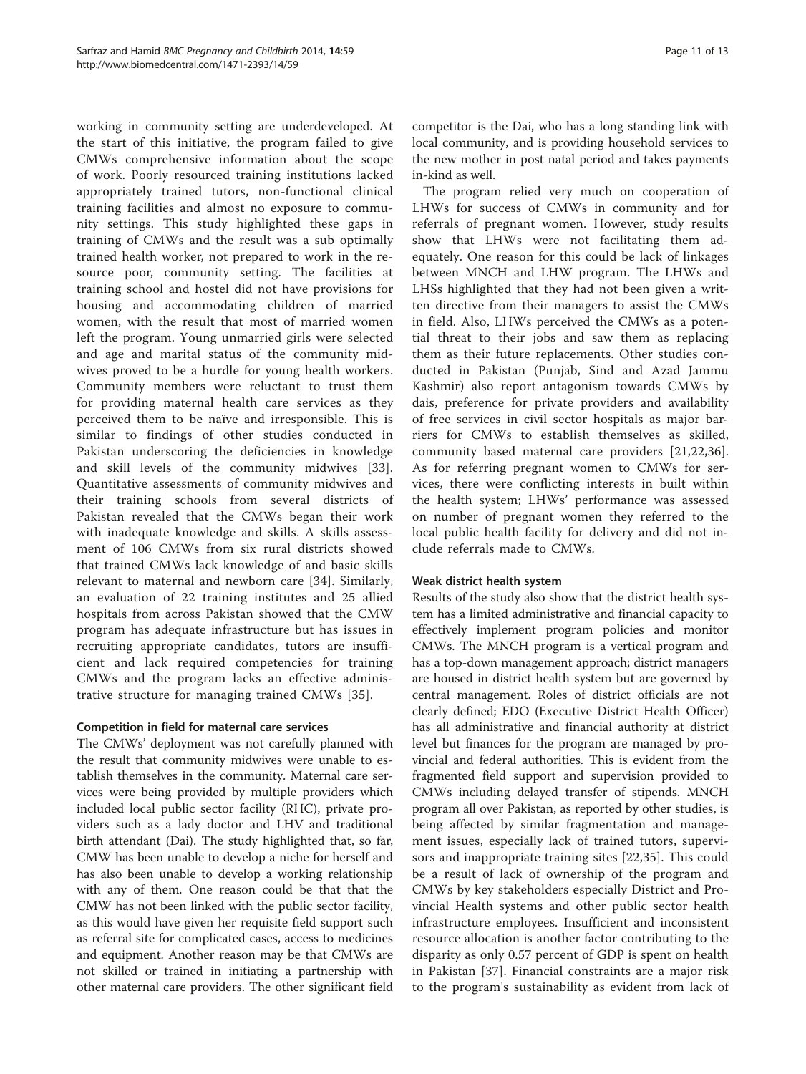working in community setting are underdeveloped. At the start of this initiative, the program failed to give CMWs comprehensive information about the scope of work. Poorly resourced training institutions lacked appropriately trained tutors, non-functional clinical training facilities and almost no exposure to community settings. This study highlighted these gaps in training of CMWs and the result was a sub optimally trained health worker, not prepared to work in the resource poor, community setting. The facilities at training school and hostel did not have provisions for housing and accommodating children of married women, with the result that most of married women left the program. Young unmarried girls were selected and age and marital status of the community midwives proved to be a hurdle for young health workers. Community members were reluctant to trust them for providing maternal health care services as they perceived them to be naïve and irresponsible. This is similar to findings of other studies conducted in Pakistan underscoring the deficiencies in knowledge and skill levels of the community midwives [[33](#page-12-0)]. Quantitative assessments of community midwives and their training schools from several districts of Pakistan revealed that the CMWs began their work with inadequate knowledge and skills. A skills assessment of 106 CMWs from six rural districts showed that trained CMWs lack knowledge of and basic skills relevant to maternal and newborn care [[34\]](#page-12-0). Similarly, an evaluation of 22 training institutes and 25 allied hospitals from across Pakistan showed that the CMW program has adequate infrastructure but has issues in recruiting appropriate candidates, tutors are insufficient and lack required competencies for training CMWs and the program lacks an effective administrative structure for managing trained CMWs [[35](#page-12-0)].

## Competition in field for maternal care services

The CMWs' deployment was not carefully planned with the result that community midwives were unable to establish themselves in the community. Maternal care services were being provided by multiple providers which included local public sector facility (RHC), private providers such as a lady doctor and LHV and traditional birth attendant (Dai). The study highlighted that, so far, CMW has been unable to develop a niche for herself and has also been unable to develop a working relationship with any of them. One reason could be that that the CMW has not been linked with the public sector facility, as this would have given her requisite field support such as referral site for complicated cases, access to medicines and equipment. Another reason may be that CMWs are not skilled or trained in initiating a partnership with other maternal care providers. The other significant field

competitor is the Dai, who has a long standing link with local community, and is providing household services to the new mother in post natal period and takes payments in-kind as well.

The program relied very much on cooperation of LHWs for success of CMWs in community and for referrals of pregnant women. However, study results show that LHWs were not facilitating them adequately. One reason for this could be lack of linkages between MNCH and LHW program. The LHWs and LHSs highlighted that they had not been given a written directive from their managers to assist the CMWs in field. Also, LHWs perceived the CMWs as a potential threat to their jobs and saw them as replacing them as their future replacements. Other studies conducted in Pakistan (Punjab, Sind and Azad Jammu Kashmir) also report antagonism towards CMWs by dais, preference for private providers and availability of free services in civil sector hospitals as major barriers for CMWs to establish themselves as skilled, community based maternal care providers [\[21](#page-12-0),[22,36](#page-12-0)]. As for referring pregnant women to CMWs for services, there were conflicting interests in built within the health system; LHWs' performance was assessed on number of pregnant women they referred to the local public health facility for delivery and did not include referrals made to CMWs.

## Weak district health system

Results of the study also show that the district health system has a limited administrative and financial capacity to effectively implement program policies and monitor CMWs. The MNCH program is a vertical program and has a top-down management approach; district managers are housed in district health system but are governed by central management. Roles of district officials are not clearly defined; EDO (Executive District Health Officer) has all administrative and financial authority at district level but finances for the program are managed by provincial and federal authorities. This is evident from the fragmented field support and supervision provided to CMWs including delayed transfer of stipends. MNCH program all over Pakistan, as reported by other studies, is being affected by similar fragmentation and management issues, especially lack of trained tutors, supervisors and inappropriate training sites [[22,35](#page-12-0)]. This could be a result of lack of ownership of the program and CMWs by key stakeholders especially District and Provincial Health systems and other public sector health infrastructure employees. Insufficient and inconsistent resource allocation is another factor contributing to the disparity as only 0.57 percent of GDP is spent on health in Pakistan [[37\]](#page-12-0). Financial constraints are a major risk to the program's sustainability as evident from lack of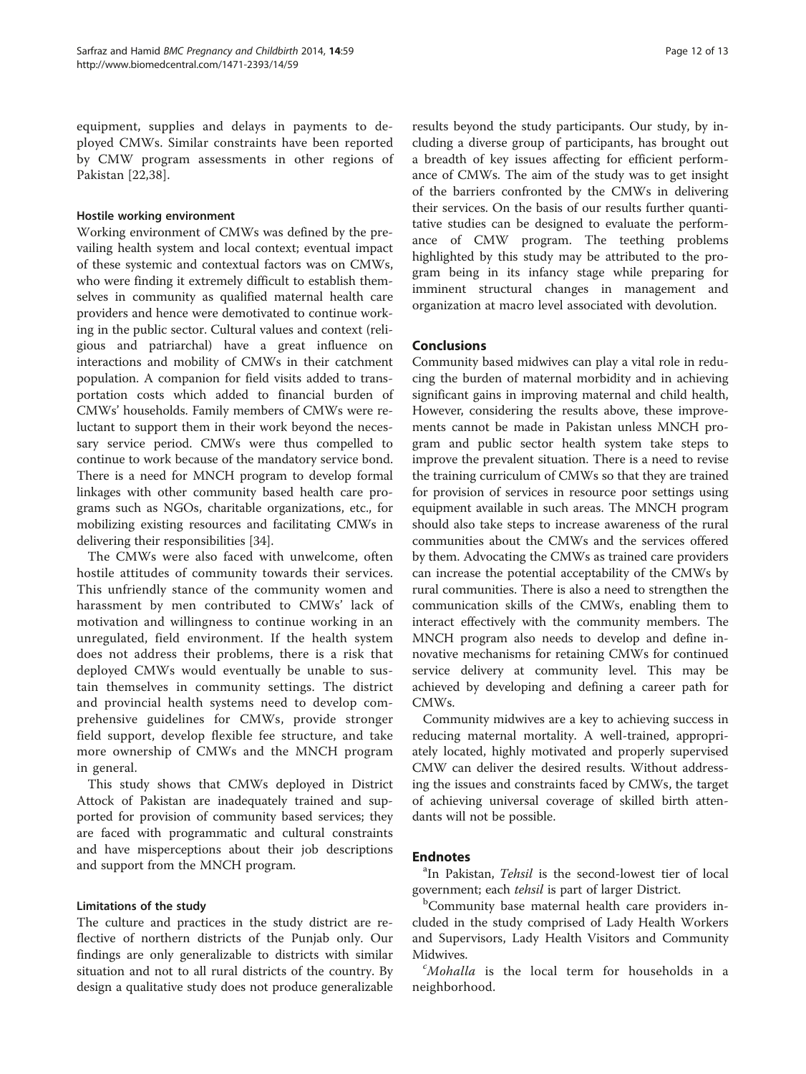equipment, supplies and delays in payments to deployed CMWs. Similar constraints have been reported by CMW program assessments in other regions of Pakistan [[22,38](#page-12-0)].

#### Hostile working environment

Working environment of CMWs was defined by the prevailing health system and local context; eventual impact of these systemic and contextual factors was on CMWs, who were finding it extremely difficult to establish themselves in community as qualified maternal health care providers and hence were demotivated to continue working in the public sector. Cultural values and context (religious and patriarchal) have a great influence on interactions and mobility of CMWs in their catchment population. A companion for field visits added to transportation costs which added to financial burden of CMWs' households. Family members of CMWs were reluctant to support them in their work beyond the necessary service period. CMWs were thus compelled to continue to work because of the mandatory service bond. There is a need for MNCH program to develop formal linkages with other community based health care programs such as NGOs, charitable organizations, etc., for mobilizing existing resources and facilitating CMWs in delivering their responsibilities [\[34](#page-12-0)].

The CMWs were also faced with unwelcome, often hostile attitudes of community towards their services. This unfriendly stance of the community women and harassment by men contributed to CMWs' lack of motivation and willingness to continue working in an unregulated, field environment. If the health system does not address their problems, there is a risk that deployed CMWs would eventually be unable to sustain themselves in community settings. The district and provincial health systems need to develop comprehensive guidelines for CMWs, provide stronger field support, develop flexible fee structure, and take more ownership of CMWs and the MNCH program in general.

This study shows that CMWs deployed in District Attock of Pakistan are inadequately trained and supported for provision of community based services; they are faced with programmatic and cultural constraints and have misperceptions about their job descriptions and support from the MNCH program.

#### Limitations of the study

The culture and practices in the study district are reflective of northern districts of the Punjab only. Our findings are only generalizable to districts with similar situation and not to all rural districts of the country. By design a qualitative study does not produce generalizable

results beyond the study participants. Our study, by including a diverse group of participants, has brought out a breadth of key issues affecting for efficient performance of CMWs. The aim of the study was to get insight of the barriers confronted by the CMWs in delivering their services. On the basis of our results further quantitative studies can be designed to evaluate the performance of CMW program. The teething problems highlighted by this study may be attributed to the program being in its infancy stage while preparing for imminent structural changes in management and organization at macro level associated with devolution.

## Conclusions

Community based midwives can play a vital role in reducing the burden of maternal morbidity and in achieving significant gains in improving maternal and child health, However, considering the results above, these improvements cannot be made in Pakistan unless MNCH program and public sector health system take steps to improve the prevalent situation. There is a need to revise the training curriculum of CMWs so that they are trained for provision of services in resource poor settings using equipment available in such areas. The MNCH program should also take steps to increase awareness of the rural communities about the CMWs and the services offered by them. Advocating the CMWs as trained care providers can increase the potential acceptability of the CMWs by rural communities. There is also a need to strengthen the communication skills of the CMWs, enabling them to interact effectively with the community members. The MNCH program also needs to develop and define innovative mechanisms for retaining CMWs for continued service delivery at community level. This may be achieved by developing and defining a career path for CMWs.

Community midwives are a key to achieving success in reducing maternal mortality. A well-trained, appropriately located, highly motivated and properly supervised CMW can deliver the desired results. Without addressing the issues and constraints faced by CMWs, the target of achieving universal coverage of skilled birth attendants will not be possible.

## **Endnotes**

<sup>a</sup>In Pakistan, Tehsil is the second-lowest tier of local government; each tehsil is part of larger District.

<sup>b</sup>Community base maternal health care providers included in the study comprised of Lady Health Workers and Supervisors, Lady Health Visitors and Community Midwives.

 $^c$ Mohalla is the local term for households in a neighborhood.